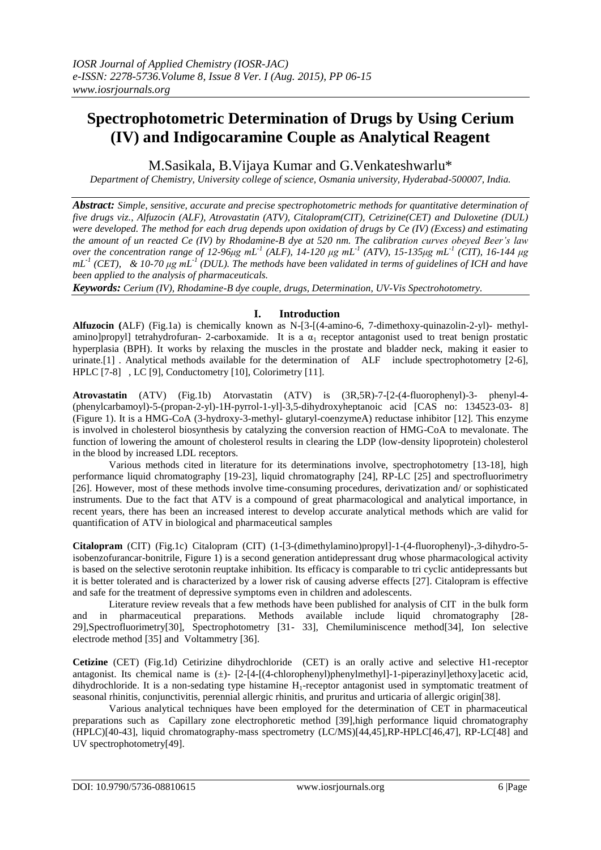# **Spectrophotometric Determination of Drugs by Using Cerium (IV) and Indigocaramine Couple as Analytical Reagent**

M.Sasikala, B.Vijaya Kumar and G.Venkateshwarlu\*

*Department of Chemistry, University college of science, Osmania university, Hyderabad-500007, India.*

*Abstract: Simple, sensitive, accurate and precise spectrophotometric methods for quantitative determination of five drugs viz., Alfuzocin (ALF), Atrovastatin (ATV), Citalopram(CIT), Cetrizine(CET) and Duloxetine (DUL) were developed. The method for each drug depends upon oxidation of drugs by Ce (IV) (Excess) and estimating the amount of un reacted Ce (IV) by Rhodamine-B dye at 520 nm. The calibration curves obeyed Beer's law over the concentration range of 12-96μg mL<sup>-1</sup> (ALF), 14-120 μg mL<sup>-1</sup> (ATV), 15-135μg mL<sup>-1</sup> (CIT), 16-144 μg*  $mL<sup>-1</sup>$  (CET), & 10-70  $\mu$ g mL<sup>-1</sup> (DUL). The methods have been validated in terms of guidelines of ICH and have *been applied to the analysis of pharmaceuticals.* 

*Keywords: Cerium (IV), Rhodamine-B dye couple, drugs, Determination, UV-Vis Spectrohotometry.*

# **I. Introduction**

**Alfuzocin (**ALF) (Fig.1a) is chemically known as N-[3-[(4-amino-6, 7-dimethoxy-quinazolin-2-yl)- methylamino]propyl] tetrahydrofuran- 2-carboxamide. It is a  $\alpha_1$  receptor antagonist used to treat benign prostatic hyperplasia (BPH). It works by relaxing the muscles in the prostate and bladder neck, making it easier to urinate.[1] . Analytical methods available for the determination of ALF include spectrophotometry [2-6], HPLC [7-8] , LC [9], Conductometry [10], Colorimetry [11].

**Atrovastatin** (ATV) (Fig.1b) Atorvastatin (ATV) is (3R,5R)-7-[2-(4-fluorophenyl)-3- phenyl-4- (phenylcarbamoyl)-5-(propan-2-yl)-1H-pyrrol-1-yl]-3,5-dihydroxyheptanoic acid [CAS no: 134523-03- 8] (Figure 1). It is a HMG-CoA (3-hydroxy-3-methyl- glutaryl-coenzymeA) reductase inhibitor [12]. This enzyme is involved in cholesterol biosynthesis by catalyzing the conversion reaction of HMG-CoA to mevalonate. The function of lowering the amount of cholesterol results in clearing the LDP (low-density lipoprotein) cholesterol in the blood by increased LDL receptors.

Various methods cited in literature for its determinations involve, spectrophotometry [13-18], high performance liquid chromatography [19-23], liquid chromatography [24], RP-LC [25] and spectrofluorimetry [26]. However, most of these methods involve time-consuming procedures, derivatization and/ or sophisticated instruments. Due to the fact that ATV is a compound of great pharmacological and analytical importance, in recent years, there has been an increased interest to develop accurate analytical methods which are valid for quantification of ATV in biological and pharmaceutical samples

**Citalopram** (CIT) (Fig.1c) Citalopram (CIT) (1-[3-(dimethylamino)propyl]-1-(4-fluorophenyl)-,3-dihydro-5 isobenzofurancar-bonitrile, Figure 1) is a second generation antidepressant drug whose pharmacological activity is based on the selective serotonin reuptake inhibition. Its efficacy is comparable to tri cyclic antidepressants but it is better tolerated and is characterized by a lower risk of causing adverse effects [27]. Citalopram is effective and safe for the treatment of depressive symptoms even in children and adolescents.

Literature review reveals that a few methods have been published for analysis of CIT in the bulk form and in pharmaceutical preparations. Methods available include liquid chromatography [28- 29],Spectrofluorimetry[30], Spectrophotometry [31- 33], Chemiluminiscence method[34], Ion selective electrode method [35] and Voltammetry [36].

**Cetizine** (CET) (Fig.1d) Cetirizine dihydrochloride (CET) is an orally active and selective H1-receptor antagonist. Its chemical name is  $(\pm)$ - [2-[4-[(4-chlorophenyl)phenylmethyl]-1-piperazinyl]ethoxy]acetic acid, dihydrochloride. It is a non-sedating type histamine H<sub>1</sub>-receptor antagonist used in symptomatic treatment of seasonal rhinitis, conjunctivitis, perennial allergic rhinitis, and pruritus and urticaria of allergic origin[38].

Various analytical techniques have been employed for the determination of CET in pharmaceutical preparations such as Capillary zone electrophoretic method [39],high performance liquid chromatography (HPLC)[40-43], liquid chromatography-mass spectrometry (LC/MS)[44,45],RP-HPLC[46,47], RP-LC[48] and UV spectrophotometry[49].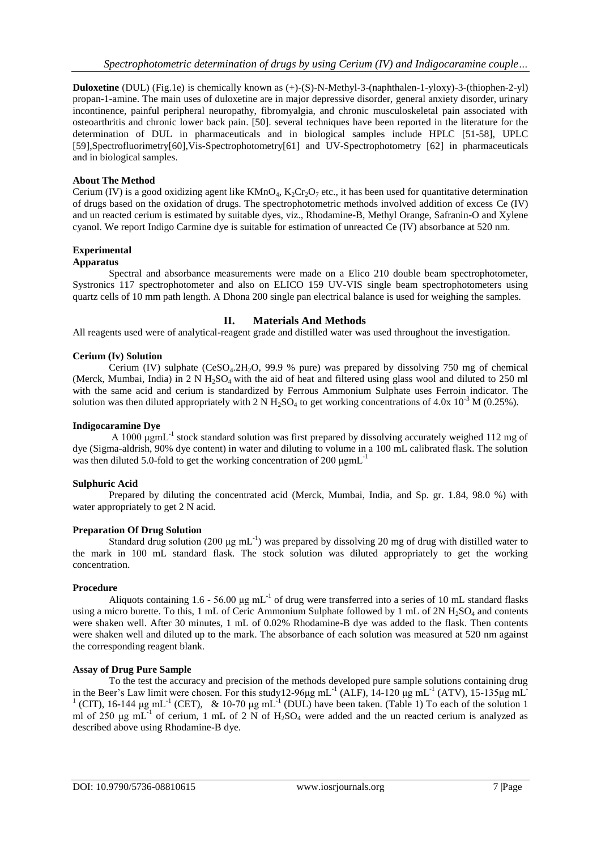**Duloxetine** (DUL) (Fig.1e) is chemically known as (+)-(S)-N-Methyl-3-(naphthalen-1-yloxy)-3-(thiophen-2-yl) propan-1-amine. The main uses of duloxetine are in major depressive disorder, general anxiety disorder, urinary incontinence, painful peripheral neuropathy, fibromyalgia, and chronic musculoskeletal pain associated with osteoarthritis and chronic lower back pain. [50]. several techniques have been reported in the literature for the determination of DUL in pharmaceuticals and in biological samples include HPLC [51-58], UPLC [59],Spectrofluorimetry[60],Vis-Spectrophotometry[61] and UV-Spectrophotometry [62] in pharmaceuticals and in biological samples.

## **About The Method**

Cerium (IV) is a good oxidizing agent like  $KMnO_4$ ,  $K_2Cr_2O_7$  etc., it has been used for quantitative determination of drugs based on the oxidation of drugs. The spectrophotometric methods involved addition of excess Ce (IV) and un reacted cerium is estimated by suitable dyes, viz., Rhodamine-B, Methyl Orange, Safranin-O and Xylene cyanol. We report Indigo Carmine dye is suitable for estimation of unreacted Ce (IV) absorbance at 520 nm.

## **Experimental**

## **Apparatus**

Spectral and absorbance measurements were made on a Elico 210 double beam spectrophotometer, Systronics 117 spectrophotometer and also on ELICO 159 UV-VIS single beam spectrophotometers using quartz cells of 10 mm path length. A Dhona 200 single pan electrical balance is used for weighing the samples.

## **II. Materials And Methods**

All reagents used were of analytical-reagent grade and distilled water was used throughout the investigation.

## **Cerium (Iv) Solution**

Cerium (IV) sulphate  $(CeSO<sub>4</sub>.2H<sub>2</sub>O, 99.9 %$  pure) was prepared by dissolving 750 mg of chemical (Merck, Mumbai, India) in  $2 \text{ N H}_2$ SO<sub>4</sub> with the aid of heat and filtered using glass wool and diluted to 250 ml with the same acid and cerium is standardized by Ferrous Ammonium Sulphate uses Ferroin indicator. The solution was then diluted appropriately with 2 N H<sub>2</sub>SO<sub>4</sub> to get working concentrations of 4.0x 10<sup>-3</sup> M (0.25%).

## **Indigocaramine Dye**

A 1000 μgmL<sup>-1</sup> stock standard solution was first prepared by dissolving accurately weighed 112 mg of dye (Sigma-aldrish, 90% dye content) in water and diluting to volume in a 100 mL calibrated flask. The solution was then diluted 5.0-fold to get the working concentration of 200 μgmL-1

## **Sulphuric Acid**

Prepared by diluting the concentrated acid (Merck, Mumbai, India, and Sp. gr. 1.84, 98.0 %) with water appropriately to get 2 N acid.

## **Preparation Of Drug Solution**

Standard drug solution (200  $\mu$ g mL<sup>-1</sup>) was prepared by dissolving 20 mg of drug with distilled water to the mark in 100 mL standard flask. The stock solution was diluted appropriately to get the working concentration.

## **Procedure**

Aliquots containing 1.6 - 56.00  $\mu$ g mL<sup>-1</sup> of drug were transferred into a series of 10 mL standard flasks using a micro burette. To this, 1 mL of Ceric Ammonium Sulphate followed by 1 mL of  $2N H_2SO_4$  and contents were shaken well. After 30 minutes, 1 mL of 0.02% Rhodamine-B dye was added to the flask. Then contents were shaken well and diluted up to the mark. The absorbance of each solution was measured at 520 nm against the corresponding reagent blank.

# **Assay of Drug Pure Sample**

To the test the accuracy and precision of the methods developed pure sample solutions containing drug in the Beer's Law limit were chosen. For this study12-96 $\mu$ g mL<sup>-1</sup> (ALF), 14-120  $\mu$ g mL<sup>-1</sup> (ATV), 15-135 $\mu$ g mL<sup>-1</sup> <sup>1</sup> (CIT), 16-144 μg mL<sup>-1</sup> (CET), & 10-70 μg mL<sup>-1</sup> (DUL) have been taken. (Table 1) To each of the solution 1 ml of 250  $\mu$ g mL<sup>-1</sup> of cerium, 1 mL of 2 N of H<sub>2</sub>SO<sub>4</sub> were added and the un reacted cerium is analyzed as described above using Rhodamine-B dye.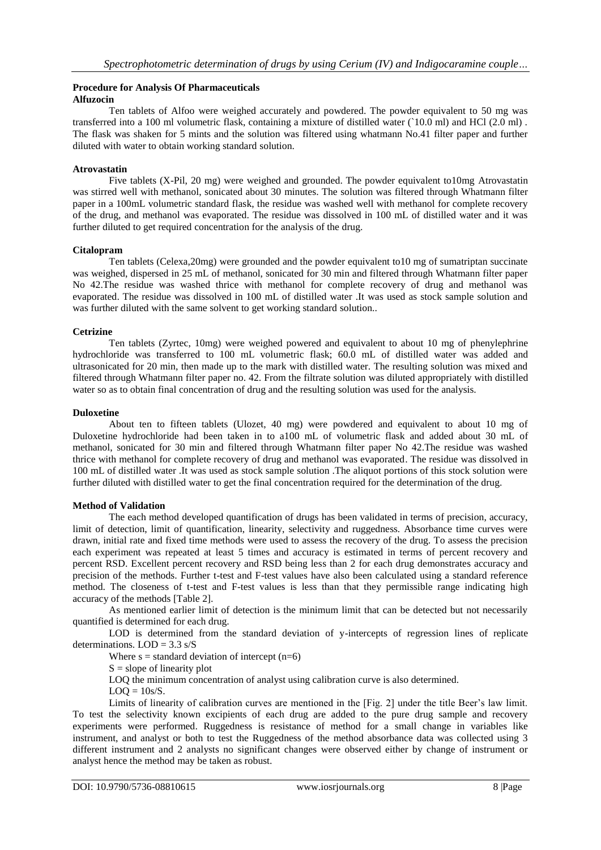## **Procedure for Analysis Of Pharmaceuticals Alfuzocin**

Ten tablets of Alfoo were weighed accurately and powdered. The powder equivalent to 50 mg was transferred into a 100 ml volumetric flask, containing a mixture of distilled water (`10.0 ml) and HCl (2.0 ml) . The flask was shaken for 5 mints and the solution was filtered using whatmann No.41 filter paper and further diluted with water to obtain working standard solution.

# **Atrovastatin**

Five tablets (X-Pil, 20 mg) were weighed and grounded. The powder equivalent to10mg Atrovastatin was stirred well with methanol, sonicated about 30 minutes. The solution was filtered through Whatmann filter paper in a 100mL volumetric standard flask, the residue was washed well with methanol for complete recovery of the drug, and methanol was evaporated. The residue was dissolved in 100 mL of distilled water and it was further diluted to get required concentration for the analysis of the drug.

## **Citalopram**

Ten tablets (Celexa,20mg) were grounded and the powder equivalent to10 mg of sumatriptan succinate was weighed, dispersed in 25 mL of methanol, sonicated for 30 min and filtered through Whatmann filter paper No 42.The residue was washed thrice with methanol for complete recovery of drug and methanol was evaporated. The residue was dissolved in 100 mL of distilled water .It was used as stock sample solution and was further diluted with the same solvent to get working standard solution..

## **Cetrizine**

Ten tablets (Zyrtec, 10mg) were weighed powered and equivalent to about 10 mg of phenylephrine hydrochloride was transferred to 100 mL volumetric flask; 60.0 mL of distilled water was added and ultrasonicated for 20 min, then made up to the mark with distilled water. The resulting solution was mixed and filtered through Whatmann filter paper no. 42. From the filtrate solution was diluted appropriately with distilled water so as to obtain final concentration of drug and the resulting solution was used for the analysis.

## **Duloxetine**

About ten to fifteen tablets (Ulozet, 40 mg) were powdered and equivalent to about 10 mg of Duloxetine hydrochloride had been taken in to a100 mL of volumetric flask and added about 30 mL of methanol, sonicated for 30 min and filtered through Whatmann filter paper No 42.The residue was washed thrice with methanol for complete recovery of drug and methanol was evaporated. The residue was dissolved in 100 mL of distilled water .It was used as stock sample solution .The aliquot portions of this stock solution were further diluted with distilled water to get the final concentration required for the determination of the drug.

## **Method of Validation**

The each method developed quantification of drugs has been validated in terms of precision, accuracy, limit of detection, limit of quantification, linearity, selectivity and ruggedness. Absorbance time curves were drawn, initial rate and fixed time methods were used to assess the recovery of the drug. To assess the precision each experiment was repeated at least 5 times and accuracy is estimated in terms of percent recovery and percent RSD. Excellent percent recovery and RSD being less than 2 for each drug demonstrates accuracy and precision of the methods. Further t-test and F-test values have also been calculated using a standard reference method. The closeness of t-test and F-test values is less than that they permissible range indicating high accuracy of the methods [Table 2].

As mentioned earlier limit of detection is the minimum limit that can be detected but not necessarily quantified is determined for each drug.

LOD is determined from the standard deviation of y-intercepts of regression lines of replicate determinations.  $LOD = 3.3$  s/S

Where  $s =$  standard deviation of intercept (n=6)

 $S = slope of linearity plot$ 

LOQ the minimum concentration of analyst using calibration curve is also determined.

 $LOO = 10s/S$ .

Limits of linearity of calibration curves are mentioned in the [Fig. 2] under the title Beer's law limit. To test the selectivity known excipients of each drug are added to the pure drug sample and recovery experiments were performed. Ruggedness is resistance of method for a small change in variables like instrument, and analyst or both to test the Ruggedness of the method absorbance data was collected using 3 different instrument and 2 analysts no significant changes were observed either by change of instrument or analyst hence the method may be taken as robust.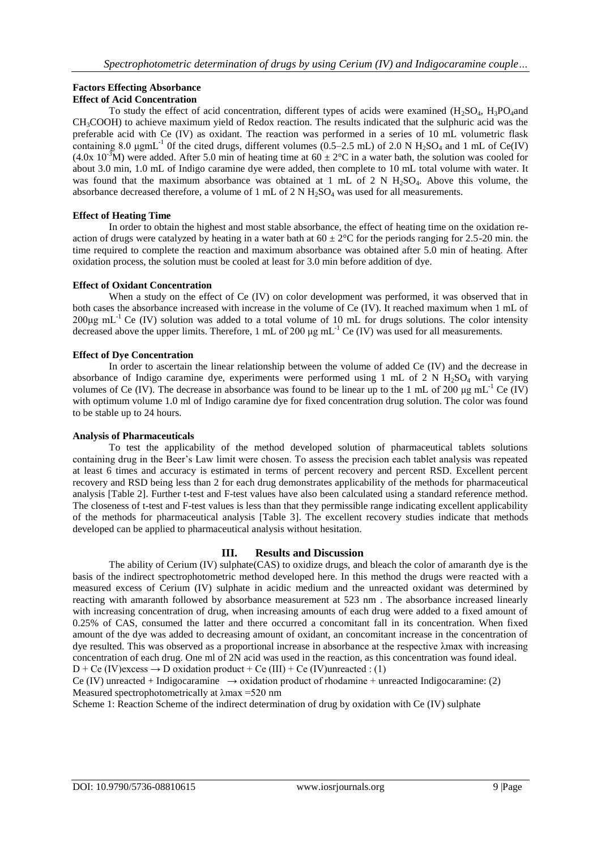# **Factors Effecting Absorbance Effect of Acid Concentration**

To study the effect of acid concentration, different types of acids were examined  $(H_2SO_4, H_3PO_4$ and CH3COOH) to achieve maximum yield of Redox reaction. The results indicated that the sulphuric acid was the preferable acid with Ce (IV) as oxidant. The reaction was performed in a series of 10 mL volumetric flask containing 8.0  $\mu$ gmL<sup>-1</sup> Of the cited drugs, different volumes (0.5–2.5 mL) of 2.0 N H<sub>2</sub>SO<sub>4</sub> and 1 mL of Ce(IV) (4.0x 10<sup>-3</sup>M) were added. After 5.0 min of heating time at  $60 \pm 2^{\circ}$ C in a water bath, the solution was cooled for about 3.0 min, 1.0 mL of Indigo caramine dye were added, then complete to 10 mL total volume with water. It was found that the maximum absorbance was obtained at 1 mL of 2 N  $H_2SO_4$ . Above this volume, the absorbance decreased therefore, a volume of 1 mL of 2 N  $H_2SO_4$  was used for all measurements.

# **Effect of Heating Time**

In order to obtain the highest and most stable absorbance, the effect of heating time on the oxidation reaction of drugs were catalyzed by heating in a water bath at  $60 \pm 2^{\circ}$ C for the periods ranging for 2.5-20 min. the time required to complete the reaction and maximum absorbance was obtained after 5.0 min of heating. After oxidation process, the solution must be cooled at least for 3.0 min before addition of dye.

# **Effect of Oxidant Concentration**

When a study on the effect of Ce (IV) on color development was performed, it was observed that in both cases the absorbance increased with increase in the volume of Ce (IV). It reached maximum when 1 mL of 200µg mL<sup>-1</sup> Ce (IV) solution was added to a total volume of 10 mL for drugs solutions. The color intensity decreased above the upper limits. Therefore, 1 mL of 200  $\mu$ g mL<sup>-1</sup> Ce (IV) was used for all measurements.

# **Effect of Dye Concentration**

In order to ascertain the linear relationship between the volume of added Ce (IV) and the decrease in absorbance of Indigo caramine dye, experiments were performed using 1 mL of 2 N  $H_2SO_4$  with varying volumes of Ce (IV). The decrease in absorbance was found to be linear up to the 1 mL of 200  $\mu$ g mL<sup>-1</sup> Ce (IV) with optimum volume 1.0 ml of Indigo caramine dye for fixed concentration drug solution. The color was found to be stable up to 24 hours.

# **Analysis of Pharmaceuticals**

To test the applicability of the method developed solution of pharmaceutical tablets solutions containing drug in the Beer's Law limit were chosen. To assess the precision each tablet analysis was repeated at least 6 times and accuracy is estimated in terms of percent recovery and percent RSD. Excellent percent recovery and RSD being less than 2 for each drug demonstrates applicability of the methods for pharmaceutical analysis [Table 2]. Further t-test and F-test values have also been calculated using a standard reference method. The closeness of t-test and F-test values is less than that they permissible range indicating excellent applicability of the methods for pharmaceutical analysis [Table 3]. The excellent recovery studies indicate that methods developed can be applied to pharmaceutical analysis without hesitation.

# **III. Results and Discussion**

The ability of Cerium (IV) sulphate(CAS) to oxidize drugs, and bleach the color of amaranth dye is the basis of the indirect spectrophotometric method developed here. In this method the drugs were reacted with a measured excess of Cerium (IV) sulphate in acidic medium and the unreacted oxidant was determined by reacting with amaranth followed by absorbance measurement at 523 nm . The absorbance increased linearly with increasing concentration of drug, when increasing amounts of each drug were added to a fixed amount of 0.25% of CAS, consumed the latter and there occurred a concomitant fall in its concentration. When fixed amount of the dye was added to decreasing amount of oxidant, an concomitant increase in the concentration of dye resulted. This was observed as a proportional increase in absorbance at the respective λmax with increasing concentration of each drug. One ml of 2N acid was used in the reaction, as this concentration was found ideal.  $D + Ce$  (IV)excess  $\rightarrow$  D oxidation product + Ce (III) + Ce (IV)unreacted : (1)

Ce (IV) unreacted + Indigocaramine  $\rightarrow$  oxidation product of rhodamine + unreacted Indigocaramine: (2) Measured spectrophotometrically at λmax =520 nm

Scheme 1: Reaction Scheme of the indirect determination of drug by oxidation with Ce (IV) sulphate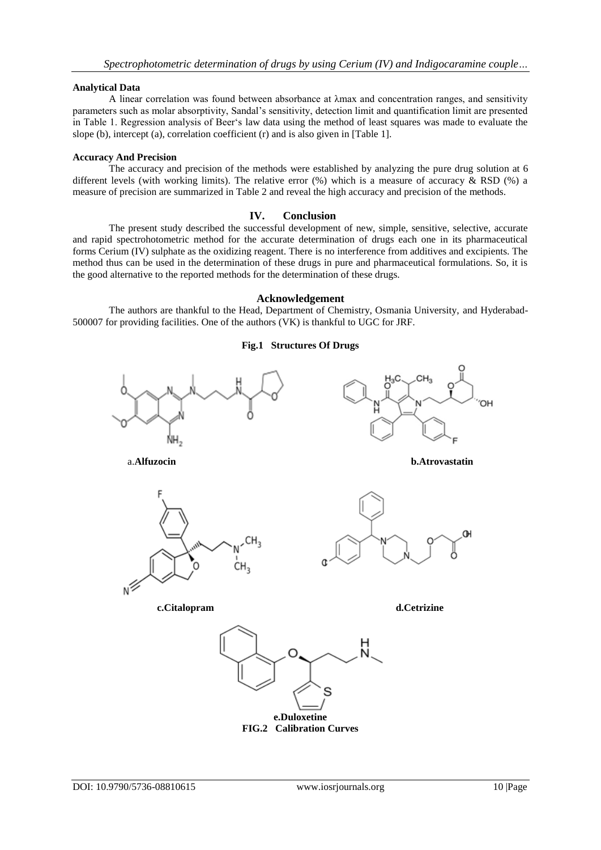## **Analytical Data**

A linear correlation was found between absorbance at λmax and concentration ranges, and sensitivity parameters such as molar absorptivity, Sandal's sensitivity, detection limit and quantification limit are presented in Table 1. Regression analysis of Beer's law data using the method of least squares was made to evaluate the slope (b), intercept (a), correlation coefficient (r) and is also given in [Table 1].

## **Accuracy And Precision**

The accuracy and precision of the methods were established by analyzing the pure drug solution at 6 different levels (with working limits). The relative error (%) which is a measure of accuracy & RSD (%) a measure of precision are summarized in Table 2 and reveal the high accuracy and precision of the methods.

# **IV. Conclusion**

The present study described the successful development of new, simple, sensitive, selective, accurate and rapid spectrohotometric method for the accurate determination of drugs each one in its pharmaceutical forms Cerium (IV) sulphate as the oxidizing reagent. There is no interference from additives and excipients. The method thus can be used in the determination of these drugs in pure and pharmaceutical formulations. So, it is the good alternative to the reported methods for the determination of these drugs.

## **Acknowledgement**

The authors are thankful to the Head, Department of Chemistry, Osmania University, and Hyderabad-500007 for providing facilities. One of the authors (VK) is thankful to UGC for JRF.



**FIG.2 Calibration Curves**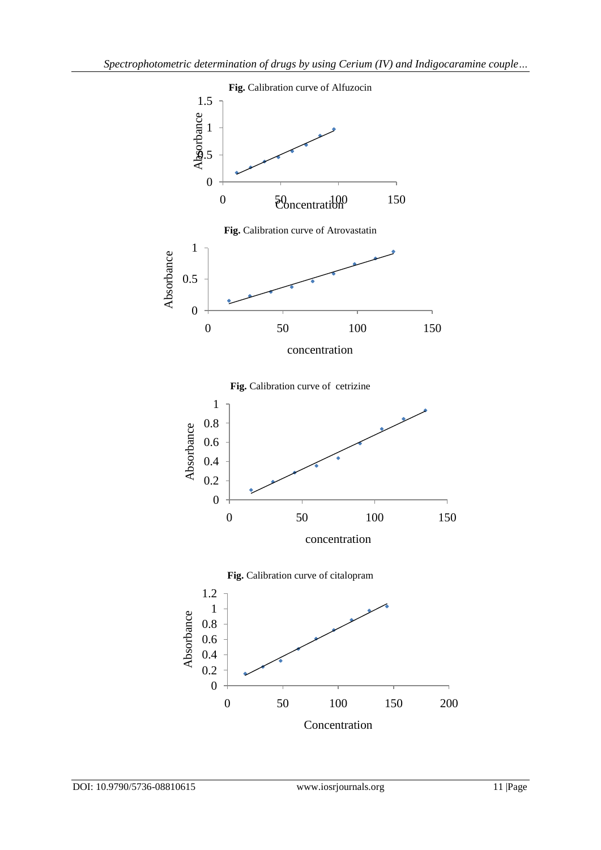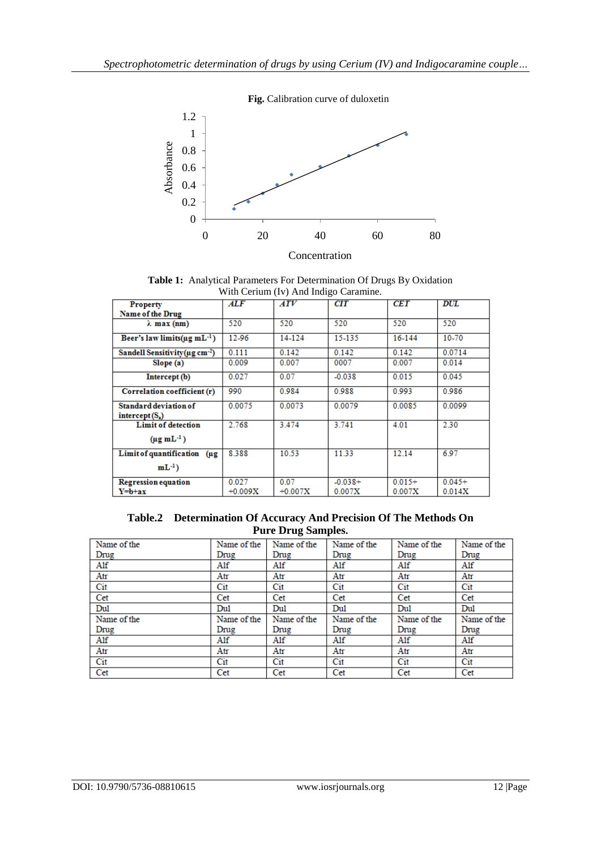

**Fig.** Calibration curve of duloxetin

**Table 1:** Analytical Parameters For Determination Of Drugs By Oxidation With Cerium (Iv) And Indigo Caramine.

|                                                          | $\ldots$ contain $\ldots$ , and mange caramics |                   |                     |                    |                    |  |  |  |
|----------------------------------------------------------|------------------------------------------------|-------------------|---------------------|--------------------|--------------------|--|--|--|
| <b>Property</b>                                          | <b>ALF</b>                                     | ATV               | CIT                 | <b>CET</b>         | <b>DUL</b>         |  |  |  |
| Name of the Drug                                         |                                                |                   |                     |                    |                    |  |  |  |
| $\lambda$ max (nm)                                       | 520                                            | 520               | 520                 | 520                | 520                |  |  |  |
| Beer's law limits ( $\mu$ g mL <sup>-1</sup> )           | 12-96                                          | 14-124            | 15-135              | 16-144             | 10-70              |  |  |  |
| Sandell Sensitivity ( $\mu$ g cm <sup>-2</sup> )         | 0.111                                          | 0.142             | 0.142               | 0.142              | 0.0714             |  |  |  |
| Slope(a)                                                 | 0.009                                          | 0.007             | 0007                | 0.007              | 0.014              |  |  |  |
| Intercept (b)                                            | 0.027                                          | 0.07              | $-0.038$            | 0.015              | 0.045              |  |  |  |
| Correlation coefficient (r)                              | 990                                            | 0.984             | 0.988               | 0.993              | 0.986              |  |  |  |
| Standard deviation of<br>intercept(S <sub>a</sub> )      | 0.0075                                         | 0.0073            | 0.0079              | 0.0085             | 0.0099             |  |  |  |
| <b>Limit of detection</b><br>$(\mu g \, \text{mL}^{-1})$ | 2.768                                          | 3.474             | 3.741               | 4.01               | 2.30               |  |  |  |
| Limit of quantification (µg<br>$mL^{-1}$ )               | 8.388                                          | 10.53             | 11.33               | 12.14              | 6.97               |  |  |  |
| <b>Regression equation</b><br>Y=b+ax                     | 0.027<br>$+0.009X$                             | 0.07<br>$+0.007X$ | $-0.038+$<br>0.007X | $0.015+$<br>0.007X | $0.045+$<br>0.014X |  |  |  |

**Table.2 Determination Of Accuracy And Precision Of The Methods On Pure Drug Samples.**

| Name of the | Name of the | Name of the | Name of the | Name of the | Name of the |  |
|-------------|-------------|-------------|-------------|-------------|-------------|--|
| Drug        | Drug        | Drug        | Drug        | Drug        | Drug        |  |
| Alf         | Alf         | Alf         | Alf         | Alf         | Alf         |  |
| Atr         | Atr         | Atr         | Atr         | Atr         | Atr         |  |
| Cit         | Cit         | Cit         | Cit         | Cit         | Cit         |  |
| Cet         | Cet         | Cet         | Cet         | Cet         | Cet         |  |
| Dul         | Dul         | Du1         | Dul         | Dul         | Dul         |  |
| Name of the | Name of the | Name of the | Name of the | Name of the | Name of the |  |
| Drug        | Drug        | Drug        | Drug        | Drug        | Drug        |  |
| Alf         | Alf         | Alf         | Alf         | Alf         | Alf         |  |
| Atr         | Atr         | Atr         | Atr         | Atr         | Atr         |  |
| Cit         | Cit         | Cit         | Cit         | Cit         | Cit         |  |
| Cet         | Cet         | Cet         | Cet         | Cet         | Cet         |  |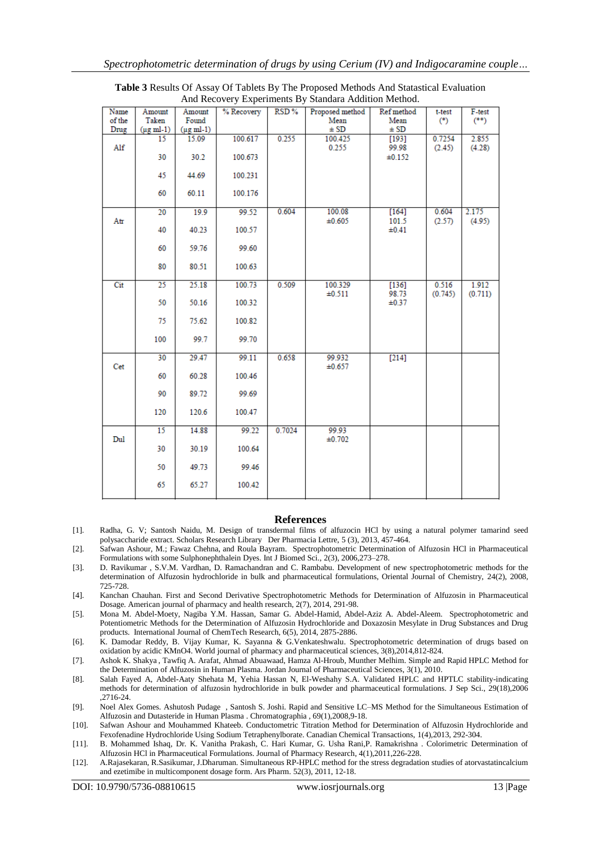| Name           | Amount                          | Amount                          | % Recovery | RSD%   | Proposed method  | Ref method          | t-test  | F-test  |
|----------------|---------------------------------|---------------------------------|------------|--------|------------------|---------------------|---------|---------|
| of the<br>Drug | Taken<br>$(\mu g \text{ ml-1})$ | Found<br>$(\mu g \text{ ml-1})$ |            |        | Mean<br>± SD     | Mean<br>$\pm$ SD    | $(*)$   | $(***)$ |
|                | 15                              | 15.09                           | 100.617    | 0.255  | 100.425          | [193]               | 0.7254  | 2.855   |
| Alf            |                                 |                                 |            |        | 0.255            | 99.98               | (2.45)  | (4.28)  |
|                | 30                              | 30.2                            | 100.673    |        |                  | ±0.152              |         |         |
|                | 45                              | 44.69                           | 100.231    |        |                  |                     |         |         |
|                | 60                              | 60.11                           | 100.176    |        |                  |                     |         |         |
|                | 20                              | 19.9                            | 99.52      | 0.604  | 100.08           | [164]               | 0.604   | 2.175   |
| Atr            | 40                              | 40.23                           | 100.57     |        | ±0.605           | 101.5<br>$\pm 0.41$ | (2.57)  | (4.95)  |
|                | 60                              | 59.76                           | 99.60      |        |                  |                     |         |         |
|                | 80                              | 80.51                           | 100.63     |        |                  |                     |         |         |
| Cit            | 25                              | 25.18                           | 100.73     | 0.509  | 100.329          | $[136]$             | 0.516   | 1.912   |
|                | 50                              | 50.16                           | 100.32     |        | ±0.511           | 98.73<br>$\pm 0.37$ | (0.745) | (0.711) |
|                | 75                              | 75.62                           | 100.82     |        |                  |                     |         |         |
|                | 100                             | 99.7                            | 99.70      |        |                  |                     |         |         |
| Cet            | 30                              | 29.47                           | 99.11      | 0.658  | 99.932<br>±0.657 | $[214]$             |         |         |
|                | 60                              | 60.28                           | 100.46     |        |                  |                     |         |         |
|                | 90                              | 89.72                           | 99.69      |        |                  |                     |         |         |
|                | 120                             | 120.6                           | 100.47     |        |                  |                     |         |         |
| Dul            | 15                              | 14.88                           | 99.22      | 0.7024 | 99.93<br>±0.702  |                     |         |         |
|                | 30                              | 30.19                           | 100.64     |        |                  |                     |         |         |
|                | 50                              | 49.73                           | 99.46      |        |                  |                     |         |         |
|                | 65                              | 65.27                           | 100.42     |        |                  |                     |         |         |

**Table 3** Results Of Assay Of Tablets By The Proposed Methods And Statastical Evaluation And Recovery Experiments By Standara Addition Method.

#### **References**

- [1]. Radha, G. V; Santosh Naidu, M. Design of transdermal films of alfuzocin HCl by using a natural polymer tamarind seed polysaccharide extract. Scholars Research Library Der Pharmacia Lettre, 5 (3), 2013, 457-464.
- [2]. Safwan Ashour, M.; Fawaz Chehna, and Roula Bayram. Spectrophotometric Determination of Alfuzosin HCl in Pharmaceutical Formulations with some Sulphonephthalein Dyes. Int J Biomed Sci., 2(3), 2006,273–278.
- [3]. D. Ravikumar , S.V.M. Vardhan, D. Ramachandran and C. Rambabu. Development of new spectrophotometric methods for the determination of Alfuzosin hydrochloride in bulk and pharmaceutical formulations, Oriental Journal of Chemistry, 24(2), 2008, 725-728.
- [4]. Kanchan Chauhan. First and Second Derivative Spectrophotometric Methods for Determination of Alfuzosin in Pharmaceutical Dosage. American journal of pharmacy and health research, 2(7), 2014, 291-98.
- [5]. Mona M. Abdel-Moety, Nagiba Y.M. Hassan, Samar G. Abdel-Hamid, Abdel-Aziz A. Abdel-Aleem. Spectrophotometric and Potentiometric Methods for the Determination of Alfuzosin Hydrochloride and Doxazosin Mesylate in Drug Substances and Drug products. International Journal of ChemTech Research, 6(5), 2014, 2875-2886.
- [6]. K. Damodar Reddy, B. Vijay Kumar, K. Sayanna & G.Venkateshwalu. Spectrophotometric determination of drugs based on oxidation by acidic KMnO4. World journal of pharmacy and pharmaceutical sciences, 3(8),2014,812-824.
- [7]. Ashok K. Shakya , Tawfiq A. Arafat, Ahmad Abuawaad, Hamza Al-Hroub, Munther Melhim. Simple and Rapid HPLC Method for the Determination of Alfuzosin in Human Plasma. Jordan Journal of Pharmaceutical Sciences, 3(1), 2010.
- [8]. Salah Fayed A, Abdel-Aaty Shehata M, Yehia Hassan N, El-Weshahy S.A. Validated HPLC and HPTLC stability-indicating methods for determination of alfuzosin hydrochloride in bulk powder and pharmaceutical formulations. J Sep Sci., 29(18),2006 ,2716-24.
- [9]. Noel Alex Gomes. Ashutosh Pudage , Santosh S. Joshi. Rapid and Sensitive LC–MS Method for the Simultaneous Estimation of Alfuzosin and Dutasteride in Human Plasma . Chromatographia , 69(1),2008,9-18.
- [10]. Safwan Ashour and Mouhammed Khateeb. Conductometric Titration Method for Determination of Alfuzosin Hydrochloride and Fexofenadine Hydrochloride Using Sodium Tetraphenylborate. Canadian Chemical Transactions, 1(4),2013, 292-304.
- [11]. B. Mohammed Ishaq, Dr. K. Vanitha Prakash, C. Hari Kumar, G. Usha Rani,P. Ramakrishna . Colorimetric Determination of Alfuzosin HCl in Pharmaceutical Formulations. Journal of Pharmacy Research, 4(1),2011,226-228.
- [12]. A.Rajasekaran, R.Sasikumar, J.Dharuman. Simultaneous RP-HPLC method for the stress degradation studies of atorvastatincalcium and ezetimibe in multicomponent dosage form. Ars Pharm. 52(3), 2011, 12-18.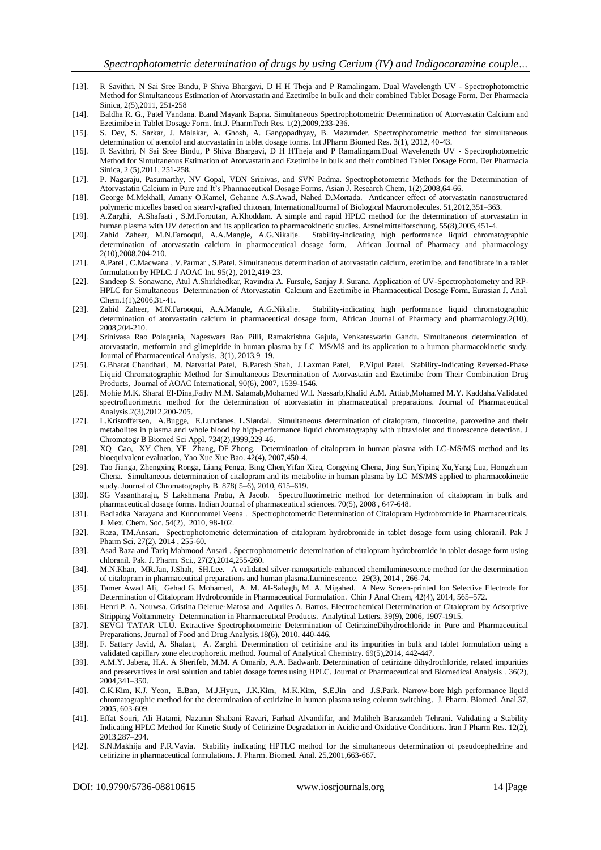- [13]. R Savithri, N Sai Sree Bindu, P Shiva Bhargavi, D H H Theja and P Ramalingam. Dual Wavelength UV Spectrophotometric Method for Simultaneous Estimation of Atorvastatin and Ezetimibe in bulk and their combined Tablet Dosage Form. Der Pharmacia Sinica, 2(5),2011, 251-258
- [14]. Baldha R. G., Patel Vandana. B.and Mayank Bapna. Simultaneous Spectrophotometric Determination of Atorvastatin Calcium and Ezetimibe in Tablet Dosage Form. Int.J. PharmTech Res. 1(2),2009,233-236.
- [15]. S. Dey, S. Sarkar, J. Malakar, A. Ghosh, A. Gangopadhyay, B. Mazumder. Spectrophotometric method for simultaneous determination of atenolol and atorvastatin in tablet dosage forms. Int JPharm Biomed Res. 3(1), 2012, 40-43.
- [16]. R Savithri, N Sai Sree Bindu, P Shiva Bhargavi, D H HTheja and P Ramalingam.Dual Wavelength UV Spectrophotometric Method for Simultaneous Estimation of Atorvastatin and Ezetimibe in bulk and their combined Tablet Dosage Form. Der Pharmacia Sinica, 2 (5),2011, 251-258.
- [17]. P. Nagaraju, Pasumarthy, NV Gopal, VDN Srinivas, and SVN Padma. Spectrophotometric Methods for the Determination of Atorvastatin Calcium in Pure and It's Pharmaceutical Dosage Forms. Asian J. Research Chem, 1(2),2008,64-66.
- [18]. George M.Mekhail, Amany O.Kamel, Gehanne A.S.Awad, Nahed D.Mortada. Anticancer effect of atorvastatin nanostructured polymeric micelles based on stearyl-grafted chitosan, InternationalJournal of Biological Macromolecules. 51,2012,351–363.
- [19]. A.Zarghi, A.Shafaati , S.M.Foroutan, A.Khoddam. A simple and rapid HPLC method for the determination of atorvastatin in human plasma with UV detection and its application to pharmacokinetic studies. Arzneimittelforschung. 55(8),2005,451-4.
- [20]. Zahid Zaheer, M.N.Farooqui, A.A.Mangle, A.G.Nikalje. Stability-indicating high performance liquid chromatographic determination of atorvastatin calcium in pharmaceutical dosage form, African Journal of Pharmacy and pharmacology 2(10),2008,204-210.
- [21]. A.Patel , C.Macwana , V.Parmar , S.Patel. Simultaneous determination of atorvastatin calcium, ezetimibe, and fenofibrate in a tablet formulation by HPLC. J AOAC Int. 95(2), 2012,419-23.
- [22]. Sandeep S. Sonawane, Atul A.Shirkhedkar, Ravindra A. Fursule, Sanjay J. Surana. Application of UV-Spectrophotometry and RP-HPLC for Simultaneous Determination of Atorvastatin Calcium and Ezetimibe in Pharmaceutical Dosage Form. Eurasian J. Anal. Chem.1(1),2006,31-41.
- [23]. Zahid Zaheer, M.N.Farooqui, A.A.Mangle, A.G.Nikalje. Stability-indicating high performance liquid chromatographic determination of atorvastatin calcium in pharmaceutical dosage form, African Journal of Pharmacy and pharmacology.2(10), 2008,204-210.
- [24]. Srinivasa Rao Polagania, Nageswara Rao Pilli, Ramakrishna Gajula, Venkateswarlu Gandu. Simultaneous determination of atorvastatin, metformin and glimepiride in human plasma by LC–MS/MS and its application to a human pharmacokinetic study. Journal of Pharmaceutical Analysis. 3(1), 2013,9–19.
- [25]. G.Bharat Chaudhari, M. Natvarlal Patel, B.Paresh Shah, J.Laxman Patel, P.Vipul Patel. Stability-Indicating Reversed-Phase Liquid Chromatographic Method for Simultaneous Determination of Atorvastatin and Ezetimibe from Their Combination Drug Products, Journal of AOAC International, 90(6), 2007, 1539-1546.
- [26]. Mohie M.K. Sharaf El-Dina,Fathy M.M. Salamab,Mohamed W.I. Nassarb,Khalid A.M. Attiab,Mohamed M.Y. Kaddaha.Validated spectrofluorimetric method for the determination of atorvastatin in pharmaceutical preparations. Journal of Pharmaceutical Analysis.2(3),2012,200-205.
- [27]. L.Kristoffersen, A.Bugge, E.Lundanes, L.Slørdal. Simultaneous determination of citalopram, fluoxetine, paroxetine and their metabolites in plasma and whole blood by high-performance liquid chromatography with ultraviolet and fluorescence detection. J Chromatogr B Biomed Sci Appl. 734(2),1999,229-46.
- [28]. XQ Cao, XY Chen, YF Zhang, DF Zhong. Determination of citalopram in human plasma with LC-MS/MS method and its bioequivalent evaluation, Yao Xue Xue Bao. 42(4), 2007,450-4.
- [29]. Tao Jianga, Zhengxing Ronga, Liang Penga, Bing Chen,Yifan Xiea, Congying Chena, Jing Sun,Yiping Xu,Yang Lua, Hongzhuan Chena. Simultaneous determination of citalopram and its metabolite in human plasma by LC–MS/MS applied to pharmacokinetic study. Journal of Chromatography B. 878( 5–6), 2010, 615–619.
- [30]. SG Vasantharaju, S Lakshmana Prabu, A Jacob. Spectrofluorimetric method for determination of citalopram in bulk and pharmaceutical dosage forms. Indian Journal of pharmaceutical sciences. 70(5), 2008 , 647-648.
- [31]. Badiadka Narayana and Kunnummel Veena . Spectrophotometric Determination of Citalopram Hydrobromide in Pharmaceuticals. J. Mex. Chem. Soc. 54(2), 2010, 98-102.
- [32]. Raza, TM.Ansari. Spectrophotometric determination of citalopram hydrobromide in tablet dosage form using chloranil. Pak J Pharm Sci. 27(2), 2014 , 255-60.
- [33]. Asad Raza and Tariq Mahmood Ansari . Spectrophotometric determination of citalopram hydrobromide in tablet dosage form using chloranil. Pak. J. Pharm. Sci., 27(2),2014,255-260.
- [34]. M.N.Khan, MR.Jan, J.Shah, SH.Lee. A validated silver-nanoparticle-enhanced chemiluminescence method for the determination of citalopram in pharmaceutical preparations and human plasma.Luminescence. 29(3), 2014 , 266-74.
- [35]. Tamer Awad Ali, Gehad G. Mohamed, A. M. Al-Sabagh, M. A. Migahed. A New Screen-printed Ion Selective Electrode for Determination of Citalopram Hydrobromide in Pharmaceutical Formulation. Chin J Anal Chem, 42(4), 2014, 565–572.
- [36]. Henri P. A. Nouwsa, Cristina Delerue-Matosa and Aquiles A. Barros. Electrochemical Determination of Citalopram by Adsorptive Stripping Voltammetry–Determination in Pharmaceutical Products. Analytical Letters. 39(9), 2006, 1907-1915.
- [37]. SEVGI TATAR ULU. Extractive Spectrophotometric Determination of CetirizineDihydrochloride in Pure and Pharmaceutical Preparations. Journal of Food and Drug Analysis,18(6), 2010, 440-446.
- [38]. F. Sattary Javid, A. Shafaat, A. Zarghi. Determination of cetirizine and its impurities in bulk and tablet formulation using a validated capillary zone electrophoretic method. Journal of Analytical Chemistry. 69(5),2014, 442-447.
- [39]. A.M.Y. Jabera, H.A. A Sherifeb, M.M. A Omarib, A.A. Badwanb. Determination of cetirizine dihydrochloride, related impurities and preservatives in oral solution and tablet dosage forms using HPLC. Journal of Pharmaceutical and Biomedical Analysis . 36(2), 2004,341–350.
- [40]. C.K.Kim, K.J. Yeon, E.Ban, M.J.Hyun, J.K.Kim, M.K.Kim, S.E.Jin and J.S.Park. Narrow-bore high performance liquid chromatographic method for the determination of cetirizine in human plasma using column switching. J. Pharm. Biomed. Anal.37, 2005, 603-609.
- [41]. Effat Souri, Ali Hatami, Nazanin Shabani Ravari, Farhad Alvandifar, and Maliheh Barazandeh Tehrani. Validating a Stability Indicating HPLC Method for Kinetic Study of Cetirizine Degradation in Acidic and Oxidative Conditions. Iran J Pharm Res. 12(2), 2013,287–294.
- [42]. S.N.Makhija and P.R.Vavia. Stability indicating HPTLC method for the simultaneous determination of pseudoephedrine and cetirizine in pharmaceutical formulations. J. Pharm. Biomed. Anal. 25,2001,663-667.